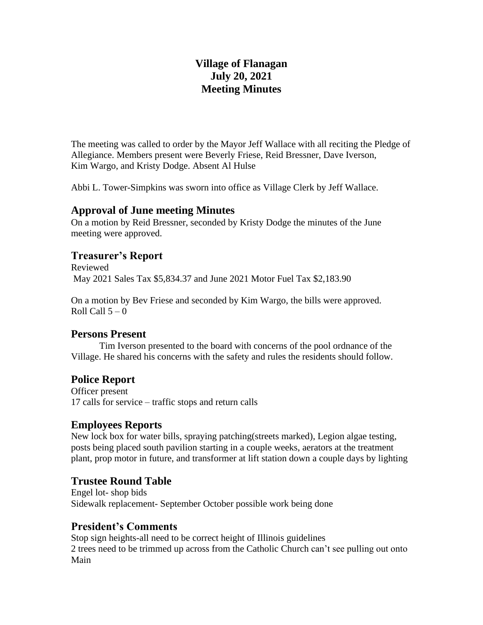# **Village of Flanagan July 20, 2021 Meeting Minutes**

The meeting was called to order by the Mayor Jeff Wallace with all reciting the Pledge of Allegiance. Members present were Beverly Friese, Reid Bressner, Dave Iverson, Kim Wargo, and Kristy Dodge. Absent Al Hulse

Abbi L. Tower-Simpkins was sworn into office as Village Clerk by Jeff Wallace.

#### **Approval of June meeting Minutes**

On a motion by Reid Bressner, seconded by Kristy Dodge the minutes of the June meeting were approved.

### **Treasurer's Report**

Reviewed May 2021 Sales Tax \$5,834.37 and June 2021 Motor Fuel Tax \$2,183.90

On a motion by Bev Friese and seconded by Kim Wargo, the bills were approved. Roll Call  $5-0$ 

## **Persons Present**

Tim Iverson presented to the board with concerns of the pool ordnance of the Village. He shared his concerns with the safety and rules the residents should follow.

## **Police Report**

Officer present 17 calls for service – traffic stops and return calls

### **Employees Reports**

New lock box for water bills, spraying patching(streets marked), Legion algae testing, posts being placed south pavilion starting in a couple weeks, aerators at the treatment plant, prop motor in future, and transformer at lift station down a couple days by lighting

### **Trustee Round Table**

Engel lot- shop bids Sidewalk replacement- September October possible work being done

## **President's Comments**

Stop sign heights-all need to be correct height of Illinois guidelines 2 trees need to be trimmed up across from the Catholic Church can't see pulling out onto Main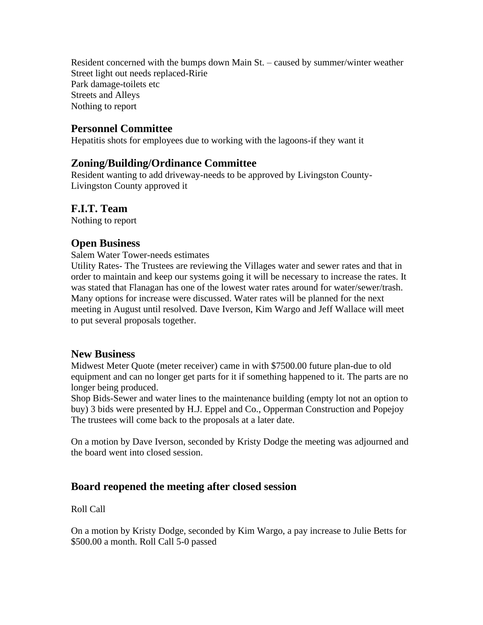Resident concerned with the bumps down Main St. – caused by summer/winter weather Street light out needs replaced-Ririe Park damage-toilets etc Streets and Alleys Nothing to report

### **Personnel Committee**

Hepatitis shots for employees due to working with the lagoons-if they want it

### **Zoning/Building/Ordinance Committee**

Resident wanting to add driveway-needs to be approved by Livingston County-Livingston County approved it

### **F.I.T. Team**

Nothing to report

### **Open Business**

Salem Water Tower-needs estimates

Utility Rates- The Trustees are reviewing the Villages water and sewer rates and that in order to maintain and keep our systems going it will be necessary to increase the rates. It was stated that Flanagan has one of the lowest water rates around for water/sewer/trash. Many options for increase were discussed. Water rates will be planned for the next meeting in August until resolved. Dave Iverson, Kim Wargo and Jeff Wallace will meet to put several proposals together.

#### **New Business**

Midwest Meter Quote (meter receiver) came in with \$7500.00 future plan-due to old equipment and can no longer get parts for it if something happened to it. The parts are no longer being produced.

Shop Bids-Sewer and water lines to the maintenance building (empty lot not an option to buy) 3 bids were presented by H.J. Eppel and Co., Opperman Construction and Popejoy The trustees will come back to the proposals at a later date.

On a motion by Dave Iverson, seconded by Kristy Dodge the meeting was adjourned and the board went into closed session.

### **Board reopened the meeting after closed session**

Roll Call

On a motion by Kristy Dodge, seconded by Kim Wargo, a pay increase to Julie Betts for \$500.00 a month. Roll Call 5-0 passed